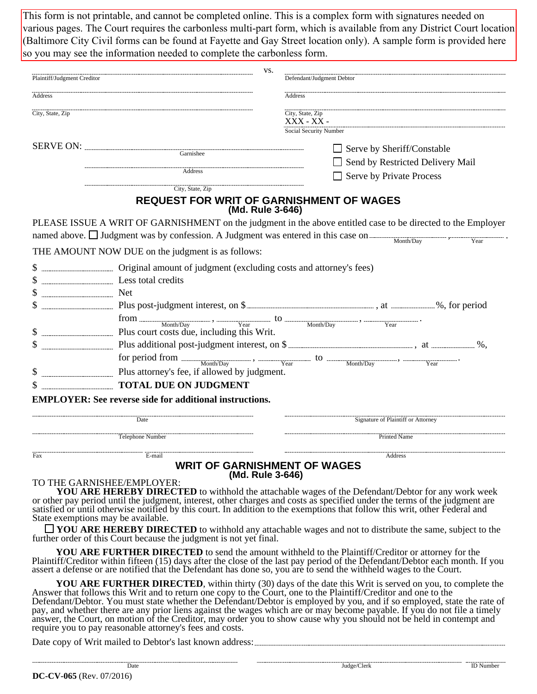various pages. The Court requires the carbonless multi-part form, which is available from any District Court location so you may see the information needed to complete the carbonless form. (Baltimore City Civil forms can be found at Fayette and Gay Street location only). A sample form is provided here This form is not printable, and cannot be completed online. This is a complex form with signatures needed on

| Plaintiff/Judgment Creditor |                                                                                                                                                                                                                                                                                                                                                                                                                                       | VS.                                                      | Defendant/Judgment Debtor          |                                   |  |  |  |
|-----------------------------|---------------------------------------------------------------------------------------------------------------------------------------------------------------------------------------------------------------------------------------------------------------------------------------------------------------------------------------------------------------------------------------------------------------------------------------|----------------------------------------------------------|------------------------------------|-----------------------------------|--|--|--|
| Address<br>City, State, Zip |                                                                                                                                                                                                                                                                                                                                                                                                                                       |                                                          | <b>Address</b>                     |                                   |  |  |  |
|                             |                                                                                                                                                                                                                                                                                                                                                                                                                                       | City, State, Zip<br>XXX - XX -<br>Social Security Number |                                    |                                   |  |  |  |
|                             |                                                                                                                                                                                                                                                                                                                                                                                                                                       |                                                          |                                    | $\Box$ Serve by Sheriff/Constable |  |  |  |
|                             |                                                                                                                                                                                                                                                                                                                                                                                                                                       |                                                          |                                    | Send by Restricted Delivery Mail  |  |  |  |
|                             | Address                                                                                                                                                                                                                                                                                                                                                                                                                               |                                                          |                                    | Serve by Private Process          |  |  |  |
|                             | City, State, Zip                                                                                                                                                                                                                                                                                                                                                                                                                      |                                                          |                                    |                                   |  |  |  |
|                             | <b>REQUEST FOR WRIT OF GARNISHMENT OF WAGES</b>                                                                                                                                                                                                                                                                                                                                                                                       | (Md. Rule 3-646)                                         |                                    |                                   |  |  |  |
|                             | PLEASE ISSUE A WRIT OF GARNISHMENT on the judgment in the above entitled case to be directed to the Employer<br>named above. $\Box$ Judgment was by confession. A Judgment was entered in this case on $\Box$ Month/Day                                                                                                                                                                                                               |                                                          |                                    |                                   |  |  |  |
|                             | THE AMOUNT NOW DUE on the judgment is as follows:                                                                                                                                                                                                                                                                                                                                                                                     |                                                          |                                    |                                   |  |  |  |
| $\mathbb{S}$                | Less total credits                                                                                                                                                                                                                                                                                                                                                                                                                    |                                                          |                                    |                                   |  |  |  |
| \$                          |                                                                                                                                                                                                                                                                                                                                                                                                                                       |                                                          |                                    |                                   |  |  |  |
|                             |                                                                                                                                                                                                                                                                                                                                                                                                                                       |                                                          |                                    |                                   |  |  |  |
|                             | $\begin{minipage}[c]{0.9\linewidth} \textbf{from} \textcolor{red}{\textbf{a} \textbf{b}} \textbf{a} \textbf{b} \textbf{c} \textbf{c} \textbf{d} \textbf{b} \textbf{c} \textbf{d} \textbf{c} \textbf{d} \textbf{c} \textbf{d} \textbf{c} \textbf{d} \textbf{c} \textbf{d} \textbf{c} \textbf{c} \textbf{d} \textbf{c} \textbf{d} \textbf{c} \textbf{c} \textbf{c} \textbf{c} \textbf{c} \textbf{c} \textbf{c} \textbf{c} \textbf{c} \$ |                                                          |                                    |                                   |  |  |  |
|                             | Plus court costs due, including this Writ.                                                                                                                                                                                                                                                                                                                                                                                            |                                                          |                                    |                                   |  |  |  |
| \$                          |                                                                                                                                                                                                                                                                                                                                                                                                                                       |                                                          |                                    |                                   |  |  |  |
|                             |                                                                                                                                                                                                                                                                                                                                                                                                                                       |                                                          |                                    |                                   |  |  |  |
|                             | Plus attorney's fee, if allowed by judgment.                                                                                                                                                                                                                                                                                                                                                                                          |                                                          |                                    |                                   |  |  |  |
|                             | <b>TOTAL DUE ON JUDGMENT</b>                                                                                                                                                                                                                                                                                                                                                                                                          |                                                          |                                    |                                   |  |  |  |
|                             | <b>EMPLOYER:</b> See reverse side for additional instructions.                                                                                                                                                                                                                                                                                                                                                                        |                                                          |                                    |                                   |  |  |  |
| Date                        |                                                                                                                                                                                                                                                                                                                                                                                                                                       |                                                          | Signature of Plaintiff or Attorney |                                   |  |  |  |
|                             | Telephone Number                                                                                                                                                                                                                                                                                                                                                                                                                      |                                                          | <b>Printed Name</b>                |                                   |  |  |  |
| Fax                         | $E$ -mail                                                                                                                                                                                                                                                                                                                                                                                                                             |                                                          |                                    | Address                           |  |  |  |

### **WRIT OF GARNISHMENT OF WAGES (Md. Rule 3-646)**

#### TO THE GARNISHEE/EMPLOYER:

 **YOU ARE HEREBY DIRECTED** to withhold the attachable wages of the Defendant/Debtor for any work week or other pay period until the judgment, interest, other charges and costs as specified under the terms of the judgment are satisfied or until otherwise notified by this court. In addition to the exemptions that follow this writ, other Federal and State exemptions may be available.

**YOU ARE HEREBY DIRECTED** to withhold any attachable wages and not to distribute the same, subject to the further order of this Court because the judgment is not yet final.

 **YOU ARE FURTHER DIRECTED** to send the amount withheld to the Plaintiff/Creditor or attorney for the Plaintiff/Creditor within fifteen (15) days after the close of the last pay period of the Defendant/Debtor each month. If you assert a defense or are notified that the Defendant has done so, you are to send the withheld wages to the Court.

 **YOU ARE FURTHER DIRECTED**, within thirty (30) days of the date this Writ is served on you, to complete the Answer that follows this Writ and to return one copy to the Court, one to the Plaintiff/Creditor and one to the Defendant/Debtor. You must state whether the Defendant/Debtor is employed by you, and if so employed, state the rate of pay, and whether there are any prior liens against the wages which are or may become payable. If you do not file a timely answer, the Court, on motion of the Creditor, may order you to show cause why you should not be held in contempt and require you to pay reasonable attorney's fees and costs.

Date copy of Writ mailed to Debtor's last known address: